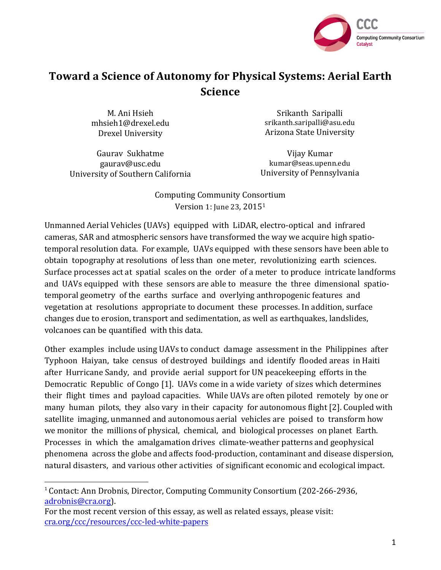

# **Toward a Science of Autonomy for Physical Systems: Aerial Earth Science**

M. Ani Hsieh mhsieh1@drexel.edu Drexel University

Gauray Sukhatme gaurav@usc.edu University of Southern California

<u> 1989 - Johann Stein, markin film yn y breninn y breninn y breninn y breninn y breninn y breninn y breninn y b</u>

Srikanth Saripalli srikanth.saripalli@asu.edu Arizona State University

Vijay Kumar kumar@seas.upenn.edu University of Pennsylvania

Computing Community Consortium Version 1: June 23, 2015<sup>1</sup>

Unmanned Aerial Vehicles (UAVs) equipped with LiDAR, electro-optical and infrared cameras, SAR and atmospheric sensors have transformed the way we acquire high spatiotemporal resolution data. For example, UAVs equipped with these sensors have been able to obtain topography at resolutions of less than one meter, revolutionizing earth sciences. Surface processes act at spatial scales on the order of a meter to produce intricate landforms and UAVs equipped with these sensors are able to measure the three dimensional spatiotemporal geometry of the earths surface and overlying anthropogenic features and vegetation at resolutions appropriate to document these processes. In addition, surface changes due to erosion, transport and sedimentation, as well as earthquakes, landslides, volcanoes can be quantified with this data.

Other examples include using UAVs to conduct damage assessment in the Philippines after Typhoon Haiyan, take census of destroyed buildings and identify flooded areas in Haiti after Hurricane Sandy, and provide aerial support for UN peacekeeping efforts in the Democratic Republic of Congo [1]. UAVs come in a wide variety of sizes which determines their flight times and payload capacities. While UAVs are often piloted remotely by one or many human pilots, they also vary in their capacity for autonomous flight [2]. Coupled with satellite imaging, unmanned and autonomous aerial vehicles are poised to transform how we monitor the millions of physical, chemical, and biological processes on planet Earth. Processes in which the amalgamation drives climate-weather patterns and geophysical phenomena across the globe and affects food-production, contaminant and disease dispersion, natural disasters, and various other activities of significant economic and ecological impact.

<sup>&</sup>lt;sup>1</sup> Contact: Ann Drobnis, Director, Computing Community Consortium (202-266-2936, adrobnis@cra.org). 

For the most recent version of this essay, as well as related essays, please visit: cra.org/ccc/resources/ccc-led-white-papers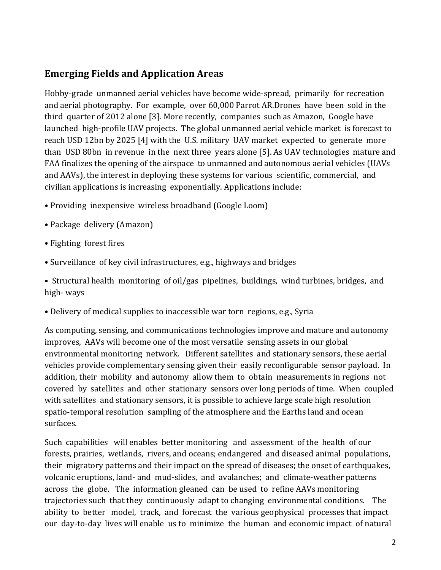#### **Emerging Fields and Application Areas**

Hobby-grade unmanned aerial vehicles have become wide-spread, primarily for recreation and aerial photography. For example, over 60,000 Parrot AR.Drones have been sold in the third quarter of 2012 alone [3]. More recently, companies such as Amazon, Google have launched high-profile UAV projects. The global unmanned aerial vehicle market is forecast to reach USD 12bn by 2025 [4] with the U.S. military UAV market expected to generate more than USD 80bn in revenue in the next three years alone [5]. As UAV technologies mature and FAA finalizes the opening of the airspace to unmanned and autonomous aerial vehicles (UAVs and AAVs), the interest in deploying these systems for various scientific, commercial, and civilian applications is increasing exponentially. Applications include:

- Providing inexpensive wireless broadband (Google Loom)
- Package delivery (Amazon)
- Fighting forest fires
- Surveillance of key civil infrastructures, e.g., highways and bridges

• Structural health monitoring of oil/gas pipelines, buildings, wind turbines, bridges, and high- ways

• Delivery of medical supplies to inaccessible war torn regions, e.g., Syria

As computing, sensing, and communications technologies improve and mature and autonomy improves, AAVs will become one of the most versatile sensing assets in our global environmental monitoring network. Different satellites and stationary sensors, these aerial vehicles provide complementary sensing given their easily reconfigurable sensor payload. In addition, their mobility and autonomy allow them to obtain measurements in regions not covered by satellites and other stationary sensors over long periods of time. When coupled with satellites and stationary sensors, it is possible to achieve large scale high resolution spatio-temporal resolution sampling of the atmosphere and the Earths land and ocean surfaces.

Such capabilities will enables better monitoring and assessment of the health of our forests, prairies, wetlands, rivers, and oceans; endangered and diseased animal populations, their migratory patterns and their impact on the spread of diseases; the onset of earthquakes, volcanic eruptions, land- and mud-slides, and avalanches; and climate-weather patterns across the globe. The information gleaned can be used to refine AAVs monitoring trajectories such that they continuously adapt to changing environmental conditions. The ability to better model, track, and forecast the various geophysical processes that impact our day-to-day lives will enable us to minimize the human and economic impact of natural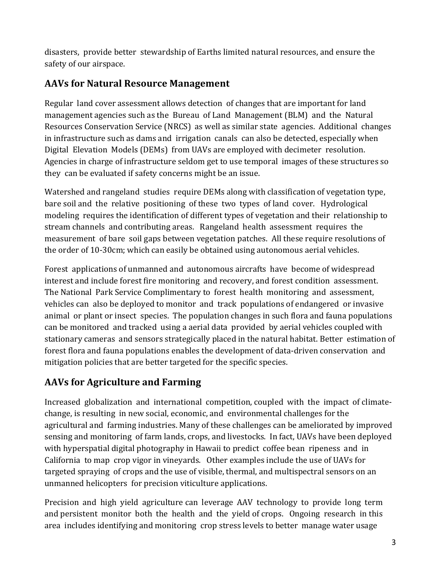disasters, provide better stewardship of Earths limited natural resources, and ensure the safety of our airspace.

# **AAVs for Natural Resource Management**

Regular land cover assessment allows detection of changes that are important for land management agencies such as the Bureau of Land Management (BLM) and the Natural Resources Conservation Service (NRCS) as well as similar state agencies. Additional changes in infrastructure such as dams and irrigation canals can also be detected, especially when Digital Elevation Models (DEMs) from UAVs are employed with decimeter resolution. Agencies in charge of infrastructure seldom get to use temporal images of these structures so they can be evaluated if safety concerns might be an issue.

Watershed and rangeland studies require DEMs along with classification of vegetation type, bare soil and the relative positioning of these two types of land cover. Hydrological modeling requires the identification of different types of vegetation and their relationship to stream channels and contributing areas. Rangeland health assessment requires the measurement of bare soil gaps between vegetation patches. All these require resolutions of the order of 10-30cm; which can easily be obtained using autonomous aerial vehicles.

Forest applications of unmanned and autonomous aircrafts have become of widespread interest and include forest fire monitoring and recovery, and forest condition assessment. The National Park Service Complimentary to forest health monitoring and assessment, vehicles can also be deployed to monitor and track populations of endangered or invasive animal or plant or insect species. The population changes in such flora and fauna populations can be monitored and tracked using a aerial data provided by aerial vehicles coupled with stationary cameras and sensors strategically placed in the natural habitat. Better estimation of forest flora and fauna populations enables the development of data-driven conservation and mitigation policies that are better targeted for the specific species.

# **AAVs for Agriculture and Farming**

Increased globalization and international competition, coupled with the impact of climatechange, is resulting in new social, economic, and environmental challenges for the agricultural and farming industries. Many of these challenges can be ameliorated by improved sensing and monitoring of farm lands, crops, and livestocks. In fact, UAVs have been deployed with hyperspatial digital photography in Hawaii to predict coffee bean ripeness and in California to map crop vigor in vineyards. Other examples include the use of UAVs for targeted spraying of crops and the use of visible, thermal, and multispectral sensors on an unmanned helicopters for precision viticulture applications.

Precision and high yield agriculture can leverage AAV technology to provide long term and persistent monitor both the health and the yield of crops. Ongoing research in this area includes identifying and monitoring crop stress levels to better manage water usage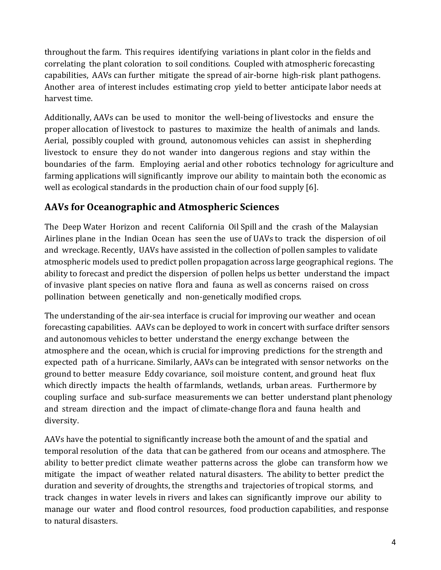throughout the farm. This requires identifying variations in plant color in the fields and correlating the plant coloration to soil conditions. Coupled with atmospheric forecasting capabilities, AAVs can further mitigate the spread of air-borne high-risk plant pathogens. Another area of interest includes estimating crop yield to better anticipate labor needs at harvest time.

Additionally, AAVs can be used to monitor the well-being of livestocks and ensure the proper allocation of livestock to pastures to maximize the health of animals and lands. Aerial, possibly coupled with ground, autonomous vehicles can assist in shepherding livestock to ensure they do not wander into dangerous regions and stay within the boundaries of the farm. Employing aerial and other robotics technology for agriculture and farming applications will significantly improve our ability to maintain both the economic as well as ecological standards in the production chain of our food supply  $[6]$ .

## **AAVs for Oceanographic and Atmospheric Sciences**

The Deep Water Horizon and recent California Oil Spill and the crash of the Malaysian Airlines plane in the Indian Ocean has seen the use of UAVs to track the dispersion of oil and wreckage. Recently, UAVs have assisted in the collection of pollen samples to validate atmospheric models used to predict pollen propagation across large geographical regions. The ability to forecast and predict the dispersion of pollen helps us better understand the impact of invasive plant species on native flora and fauna as well as concerns raised on cross pollination between genetically and non-genetically modified crops.

The understanding of the air-sea interface is crucial for improving our weather and ocean forecasting capabilities. AAVs can be deployed to work in concert with surface drifter sensors and autonomous vehicles to better understand the energy exchange between the atmosphere and the ocean, which is crucial for improving predictions for the strength and expected path of a hurricane. Similarly, AAVs can be integrated with sensor networks on the ground to better measure Eddy covariance, soil moisture content, and ground heat flux which directly impacts the health of farmlands, wetlands, urban areas. Furthermore by coupling surface and sub-surface measurements we can better understand plant phenology and stream direction and the impact of climate-change flora and fauna health and diversity.

AAVs have the potential to significantly increase both the amount of and the spatial and temporal resolution of the data that can be gathered from our oceans and atmosphere. The ability to better predict climate weather patterns across the globe can transform how we mitigate the impact of weather related natural disasters. The ability to better predict the duration and severity of droughts, the strengths and trajectories of tropical storms, and track changes in water levels in rivers and lakes can significantly improve our ability to manage our water and flood control resources, food production capabilities, and response to natural disasters.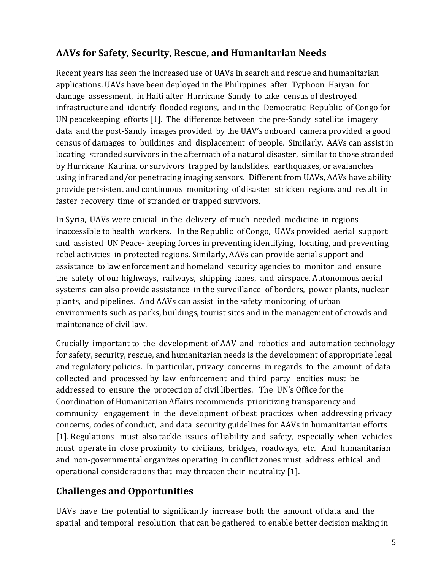# AAVs for Safety, Security, Rescue, and Humanitarian Needs

Recent years has seen the increased use of UAVs in search and rescue and humanitarian applications. UAVs have been deployed in the Philippines after Typhoon Haiyan for damage assessment, in Haiti after Hurricane Sandy to take census of destroyed infrastructure and identify flooded regions, and in the Democratic Republic of Congo for UN peacekeeping efforts  $[1]$ . The difference between the pre-Sandy satellite imagery data and the post-Sandy images provided by the UAV's onboard camera provided a good census of damages to buildings and displacement of people. Similarly, AAVs can assist in locating stranded survivors in the aftermath of a natural disaster, similar to those stranded by Hurricane Katrina, or survivors trapped by landslides, earthquakes, or avalanches using infrared and/or penetrating imaging sensors. Different from UAVs, AAVs have ability provide persistent and continuous monitoring of disaster stricken regions and result in faster recovery time of stranded or trapped survivors.

In Syria, UAVs were crucial in the delivery of much needed medicine in regions inaccessible to health workers. In the Republic of Congo, UAVs provided aerial support and assisted UN Peace- keeping forces in preventing identifying, locating, and preventing rebel activities in protected regions. Similarly, AAVs can provide aerial support and assistance to law enforcement and homeland security agencies to monitor and ensure the safety of our highways, railways, shipping lanes, and airspace. Autonomous aerial systems can also provide assistance in the surveillance of borders, power plants, nuclear plants, and pipelines. And AAVs can assist in the safety monitoring of urban environments such as parks, buildings, tourist sites and in the management of crowds and maintenance of civil law.

Crucially important to the development of AAV and robotics and automation technology for safety, security, rescue, and humanitarian needs is the development of appropriate legal and regulatory policies. In particular, privacy concerns in regards to the amount of data collected and processed by law enforcement and third party entities must be addressed to ensure the protection of civil liberties. The UN's Office for the Coordination of Humanitarian Affairs recommends prioritizing transparency and community engagement in the development of best practices when addressing privacy concerns, codes of conduct, and data security guidelines for AAVs in humanitarian efforts [1]. Regulations must also tackle issues of liability and safety, especially when vehicles must operate in close proximity to civilians, bridges, roadways, etc. And humanitarian and non-governmental organizes operating in conflict zones must address ethical and operational considerations that may threaten their neutrality [1].

#### **Challenges and Opportunities**

UAVs have the potential to significantly increase both the amount of data and the spatial and temporal resolution that can be gathered to enable better decision making in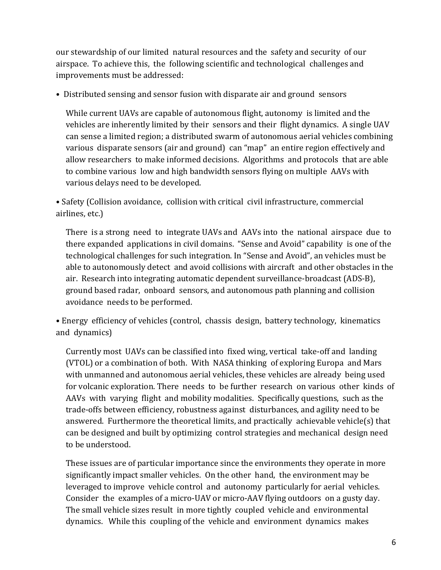our stewardship of our limited natural resources and the safety and security of our airspace. To achieve this, the following scientific and technological challenges and improvements must be addressed:

• Distributed sensing and sensor fusion with disparate air and ground sensors

While current UAVs are capable of autonomous flight, autonomy is limited and the vehicles are inherently limited by their sensors and their flight dynamics. A single UAV can sense a limited region; a distributed swarm of autonomous aerial vehicles combining various disparate sensors (air and ground) can "map" an entire region effectively and allow researchers to make informed decisions. Algorithms and protocols that are able to combine various low and high bandwidth sensors flying on multiple AAVs with various delays need to be developed.

• Safety (Collision avoidance, collision with critical civil infrastructure, commercial airlines, etc.)

There is a strong need to integrate UAVs and AAVs into the national airspace due to there expanded applications in civil domains. "Sense and Avoid" capability is one of the technological challenges for such integration. In "Sense and Avoid", an vehicles must be able to autonomously detect and avoid collisions with aircraft and other obstacles in the air. Research into integrating automatic dependent surveillance-broadcast (ADS-B), ground based radar, onboard sensors, and autonomous path planning and collision avoidance needs to be performed.

• Energy efficiency of vehicles (control, chassis design, battery technology, kinematics and dynamics)

Currently most UAVs can be classified into fixed wing, vertical take-off and landing (VTOL) or a combination of both. With NASA thinking of exploring Europa and Mars with unmanned and autonomous aerial vehicles, these vehicles are already being used for volcanic exploration. There needs to be further research on various other kinds of AAVs with varying flight and mobility modalities. Specifically questions, such as the trade-offs between efficiency, robustness against disturbances, and agility need to be answered. Furthermore the theoretical limits, and practically achievable vehicle(s) that can be designed and built by optimizing control strategies and mechanical design need to be understood.

These issues are of particular importance since the environments they operate in more significantly impact smaller vehicles. On the other hand, the environment may be leveraged to improve vehicle control and autonomy particularly for aerial vehicles. Consider the examples of a micro-UAV or micro-AAV flying outdoors on a gusty day. The small vehicle sizes result in more tightly coupled vehicle and environmental dynamics. While this coupling of the vehicle and environment dynamics makes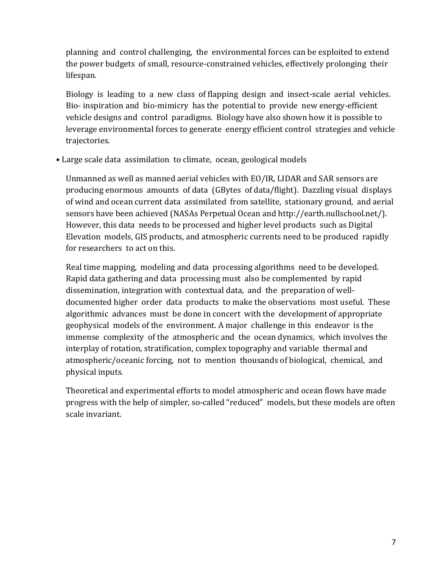planning and control challenging, the environmental forces can be exploited to extend the power budgets of small, resource-constrained vehicles, effectively prolonging their lifespan.

Biology is leading to a new class of flapping design and insect-scale aerial vehicles. Bio- inspiration and bio-mimicry has the potential to provide new energy-efficient vehicle designs and control paradigms. Biology have also shown how it is possible to leverage environmental forces to generate energy efficient control strategies and vehicle trajectories.

• Large scale data assimilation to climate, ocean, geological models

Unmanned as well as manned aerial vehicles with EO/IR, LIDAR and SAR sensors are producing enormous amounts of data (GBytes of data/flight). Dazzling visual displays of wind and ocean current data assimilated from satellite, stationary ground, and aerial sensors have been achieved (NASAs Perpetual Ocean and http://earth.nullschool.net/). However, this data needs to be processed and higher level products such as Digital Elevation models, GIS products, and atmospheric currents need to be produced rapidly for researchers to act on this.

Real time mapping, modeling and data processing algorithms need to be developed. Rapid data gathering and data processing must also be complemented by rapid dissemination, integration with contextual data, and the preparation of welldocumented higher order data products to make the observations most useful. These algorithmic advances must be done in concert with the development of appropriate geophysical models of the environment. A major challenge in this endeavor is the immense complexity of the atmospheric and the ocean dynamics, which involves the interplay of rotation, stratification, complex topography and variable thermal and atmospheric/oceanic forcing, not to mention thousands of biological, chemical, and physical inputs.

Theoretical and experimental efforts to model atmospheric and ocean flows have made progress with the help of simpler, so-called "reduced" models, but these models are often scale invariant.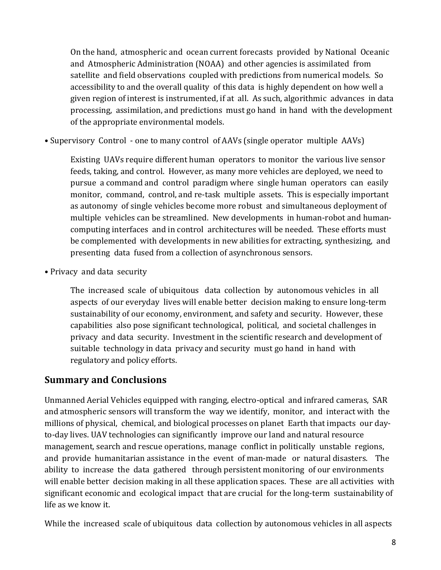On the hand, atmospheric and ocean current forecasts provided by National Oceanic and Atmospheric Administration (NOAA) and other agencies is assimilated from satellite and field observations coupled with predictions from numerical models. So accessibility to and the overall quality of this data is highly dependent on how well a given region of interest is instrumented, if at all. As such, algorithmic advances in data processing, assimilation, and predictions must go hand in hand with the development of the appropriate environmental models.

• Supervisory Control - one to many control of AAVs (single operator multiple AAVs)

Existing UAVs require different human operators to monitor the various live sensor feeds, taking, and control. However, as many more vehicles are deployed, we need to pursue a command and control paradigm where single human operators can easily monitor, command, control, and re-task multiple assets. This is especially important as autonomy of single vehicles become more robust and simultaneous deployment of multiple vehicles can be streamlined. New developments in human-robot and humancomputing interfaces and in control architectures will be needed. These efforts must be complemented with developments in new abilities for extracting, synthesizing, and presenting data fused from a collection of asynchronous sensors.

• Privacy and data security

The increased scale of ubiquitous data collection by autonomous vehicles in all aspects of our everyday lives will enable better decision making to ensure long-term sustainability of our economy, environment, and safety and security. However, these capabilities also pose significant technological, political, and societal challenges in privacy and data security. Investment in the scientific research and development of suitable technology in data privacy and security must go hand in hand with regulatory and policy efforts.

#### **Summary and Conclusions**

Unmanned Aerial Vehicles equipped with ranging, electro-optical and infrared cameras, SAR and atmospheric sensors will transform the way we identify, monitor, and interact with the millions of physical, chemical, and biological processes on planet Earth that impacts our dayto-day lives. UAV technologies can significantly improve our land and natural resource management, search and rescue operations, manage conflict in politically unstable regions, and provide humanitarian assistance in the event of man-made or natural disasters. The ability to increase the data gathered through persistent monitoring of our environments will enable better decision making in all these application spaces. These are all activities with significant economic and ecological impact that are crucial for the long-term sustainability of life as we know it.

While the increased scale of ubiquitous data collection by autonomous vehicles in all aspects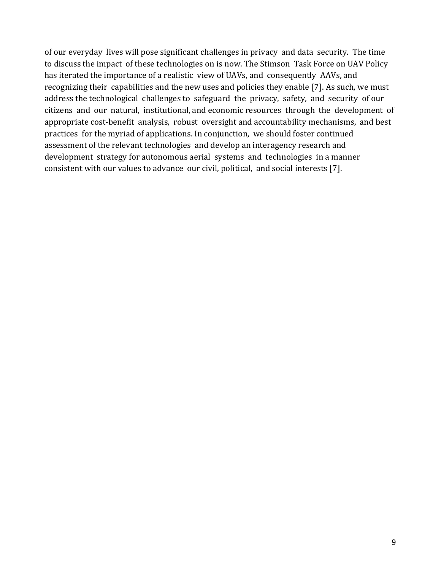of our everyday lives will pose significant challenges in privacy and data security. The time to discuss the impact of these technologies on is now. The Stimson Task Force on UAV Policy has iterated the importance of a realistic view of UAVs, and consequently AAVs, and recognizing their capabilities and the new uses and policies they enable [7]. As such, we must address the technological challenges to safeguard the privacy, safety, and security of our citizens and our natural, institutional, and economic resources through the development of appropriate cost-benefit analysis, robust oversight and accountability mechanisms, and best practices for the myriad of applications. In conjunction, we should foster continued assessment of the relevant technologies and develop an interagency research and development strategy for autonomous aerial systems and technologies in a manner consistent with our values to advance our civil, political, and social interests [7].